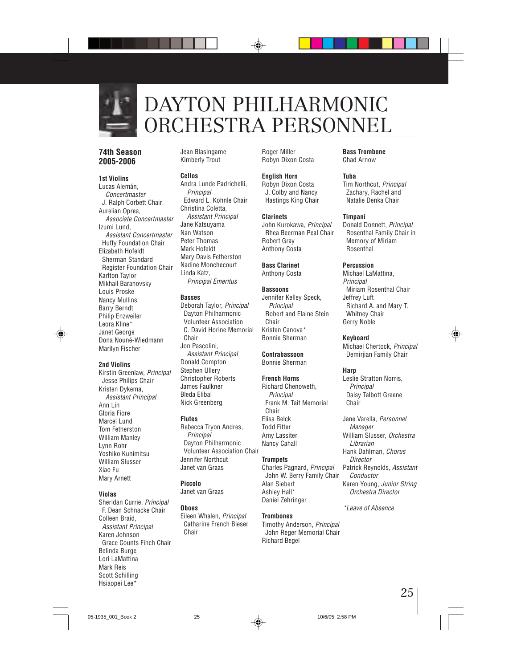

### DAYTON PHILHARMONIC ORCHESTRA PERSONNEL

#### **74th Season 2005-2006**

#### **1st Violins**

Lucas Alemán, Concertmaster J. Ralph Corbett Chair Aurelian Oprea, Associate Concertmaster Izumi Lund, Assistant Concertmaster Huffy Foundation Chair Elizabeth Hofeldt Sherman Standard Register Foundation Chair Karlton Taylor Mikhail Baranovsky Louis Proske Nancy Mullins Barry Berndt Philip Enzweiler Leora Kline\* Janet George Dona Nouné-Wiedmann Marilyn Fischer

#### **2nd Violins**

Kirstin Greenlaw, Principal Jesse Philips Chair Kristen Dykema, Assistant Principal Ann Lin Gloria Fiore Marcel Lund Tom Fetherston William Manley Lynn Rohr Yoshiko Kunimitsu William Slusser Xiao Fu Mary Arnett

#### **Violas**

Sheridan Currie, Principal F. Dean Schnacke Chair Colleen Braid, Assistant Principal Karen Johnson Grace Counts Finch Chair Belinda Burge Lori LaMattina Mark Reis Scott Schilling Hsiaopei Lee\*

Jean Blasingame Kimberly Trout

#### **Cellos**

Andra Lunde Padrichelli, **Principal** Edward L. Kohnle Chair Christina Coletta, Assistant Principal Jane Katsuyama Nan Watson Peter Thomas Mark Hofeldt Mary Davis Fetherston Nadine Monchecourt Linda Katz, Principal Emeritus

#### **Basses**

Deborah Taylor, Principal Dayton Philharmonic Volunteer Association C. David Horine Memorial Chair Jon Pascolini, Assistant Principal Donald Compton Stephen Ullery Christopher Roberts James Faulkner Bleda Elibal Nick Greenberg

#### **Flutes**

Rebecca Tryon Andres, **Principal** Dayton Philharmonic Volunteer Association Chair Jennifer Northcut Janet van Graas

#### **Piccolo**

Janet van Graas

#### **Oboes**

Eileen Whalen, Principal Catharine French Bieser **Chair** 

Roger Miller Robyn Dixon Costa

#### **English Horn**

Robyn Dixon Costa J. Colby and Nancy Hastings King Chair

#### **Clarinets**

John Kurokawa, Principal Rhea Beerman Peal Chair Robert Gray Anthony Costa

#### **Bass Clarinet** Anthony Costa

#### **Bassoons**

Jennifer Kelley Speck, **Principal** Robert and Elaine Stein Chair Kristen Canova\* Bonnie Sherman

#### **Contrabassoon**

Bonnie Sherman

#### **French Horns**

Richard Chenoweth, **Principal** Frank M. Tait Memorial Chair Elisa Belck Todd Fitter Amy Lassiter Nancy Cahall

#### **Trumpets**

Charles Pagnard, Principal John W. Berry Family Chair Alan Siebert Ashley Hall\* Daniel Zehringer

#### **Trombones**

Timothy Anderson, Principal John Reger Memorial Chair Richard Begel

**Bass Trombone** Chad Arnow

#### **Tuba**

Tim Northcut, Principal Zachary, Rachel and Natalie Denka Chair

#### **Timpani**

Donald Donnett, Principal Rosenthal Family Chair in Memory of Miriam Rosenthal

#### **Percussion**

Michael LaMattina, Principal Miriam Rosenthal Chair Jeffrey Luft Richard A. and Mary T. Whitney Chair Gerry Noble

#### **Keyboard**

Michael Chertock, Principal Demirjian Family Chair

#### **Harp**

Leslie Stratton Norris, **Principal** Daisy Talbott Greene Chair

Jane Varella, Personnel **Manager** William Slusser, Orchestra Librarian Hank Dahlman, Chorus **Director** Patrick Reynolds, Assistant Conductor Karen Young, Junior String Orchestra Director

\*Leave of Absence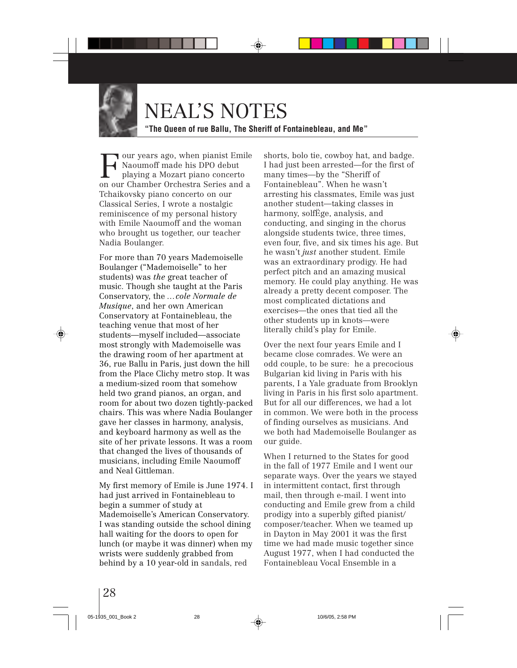

### NEAL'S NOTES

**"The Queen of rue Ballu, The Sheriff of Fontainebleau, and Me"**

Four years ago, when pianist Emile Naoumoff made his DPO debut playing a Mozart piano concerto on our Chamber Orchestra Series and a Tchaikovsky piano concerto on our Classical Series, I wrote a nostalgic reminiscence of my personal history with Emile Naoumoff and the woman who brought us together, our teacher Nadia Boulanger.

For more than 70 years Mademoiselle Boulanger ("Mademoiselle" to her students) was *the* great teacher of music. Though she taught at the Paris Conservatory, the *…cole Normale de Musique*, and her own American Conservatory at Fontainebleau, the teaching venue that most of her students—myself included—associate most strongly with Mademoiselle was the drawing room of her apartment at 36, rue Ballu in Paris, just down the hill from the Place Clichy metro stop. It was a medium-sized room that somehow held two grand pianos, an organ, and room for about two dozen tightly-packed chairs. This was where Nadia Boulanger gave her classes in harmony, analysis, and keyboard harmony as well as the site of her private lessons. It was a room that changed the lives of thousands of musicians, including Emile Naoumoff and Neal Gittleman.

My first memory of Emile is June 1974. I had just arrived in Fontainebleau to begin a summer of study at Mademoiselle's American Conservatory. I was standing outside the school dining hall waiting for the doors to open for lunch (or maybe it was dinner) when my wrists were suddenly grabbed from behind by a 10 year-old in sandals, red

shorts, bolo tie, cowboy hat, and badge. I had just been arrested—for the first of many times—by the "Sheriff of Fontainebleau". When he wasn't arresting his classmates, Emile was just another student—taking classes in harmony, solfËge, analysis, and conducting, and singing in the chorus alongside students twice, three times, even four, five, and six times his age. But he wasn't *just* another student. Emile was an extraordinary prodigy. He had perfect pitch and an amazing musical memory. He could play anything. He was already a pretty decent composer. The most complicated dictations and exercises—the ones that tied all the other students up in knots—were literally child's play for Emile.

Over the next four years Emile and I became close comrades. We were an odd couple, to be sure: he a precocious Bulgarian kid living in Paris with his parents, I a Yale graduate from Brooklyn living in Paris in his first solo apartment. But for all our differences, we had a lot in common. We were both in the process of finding ourselves as musicians. And we both had Mademoiselle Boulanger as our guide.

When I returned to the States for good in the fall of 1977 Emile and I went our separate ways. Over the years we stayed in intermittent contact, first through mail, then through e-mail. I went into conducting and Emile grew from a child prodigy into a superbly gifted pianist/ composer/teacher. When we teamed up in Dayton in May 2001 it was the first time we had made music together since August 1977, when I had conducted the Fontainebleau Vocal Ensemble in a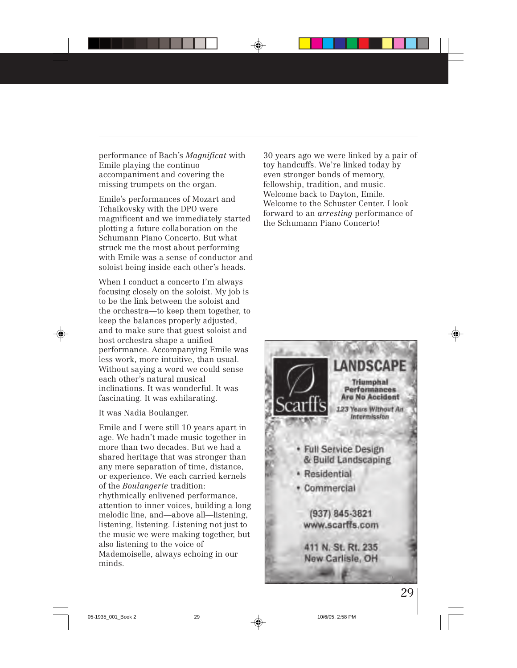performance of Bach's *Magnificat* with Emile playing the continuo accompaniment and covering the missing trumpets on the organ.

Emile's performances of Mozart and Tchaikovsky with the DPO were magnificent and we immediately started plotting a future collaboration on the Schumann Piano Concerto. But what struck me the most about performing with Emile was a sense of conductor and soloist being inside each other's heads.

When I conduct a concerto I'm always focusing closely on the soloist. My job is to be the link between the soloist and the orchestra—to keep them together, to keep the balances properly adjusted, and to make sure that guest soloist and host orchestra shape a unified performance. Accompanying Emile was less work, more intuitive, than usual. Without saying a word we could sense each other's natural musical inclinations. It was wonderful. It was fascinating. It was exhilarating.

It was Nadia Boulanger.

Emile and I were still 10 years apart in age. We hadn't made music together in more than two decades. But we had a shared heritage that was stronger than any mere separation of time, distance, or experience. We each carried kernels of the *Boulangerie* tradition: rhythmically enlivened performance, attention to inner voices, building a long melodic line, and—above all—listening, listening, listening. Listening not just to the music we were making together, but also listening to the voice of Mademoiselle, always echoing in our minds.

30 years ago we were linked by a pair of toy handcuffs. We're linked today by even stronger bonds of memory, fellowship, tradition, and music. Welcome back to Dayton, Emile. Welcome to the Schuster Center. I look forward to an *arresting* performance of the Schumann Piano Concerto!

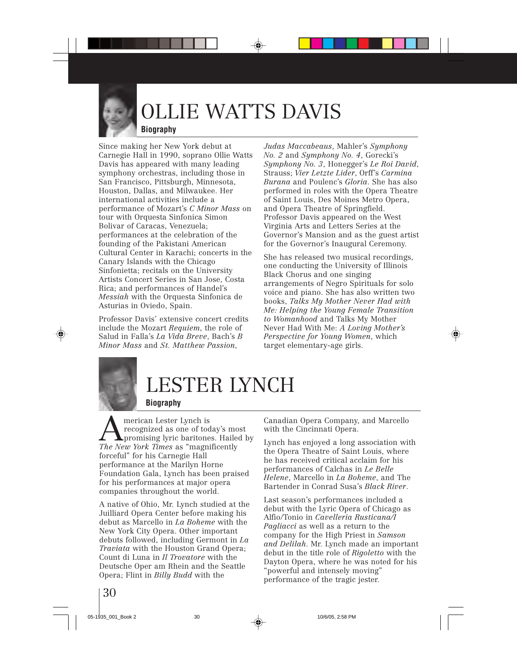

## OLLIE WATTS DAVIS

#### **Biography**

Since making her New York debut at Carnegie Hall in 1990, soprano Ollie Watts Davis has appeared with many leading symphony orchestras, including those in San Francisco, Pittsburgh, Minnesota, Houston, Dallas, and Milwaukee. Her international activities include a performance of Mozart's *C Minor Mass* on tour with Orquesta Sinfonica Simon Bolivar of Caracas, Venezuela; performances at the celebration of the founding of the Pakistani American Cultural Center in Karachi; concerts in the Canary Islands with the Chicago Sinfonietta; recitals on the University Artists Concert Series in San Jose, Costa Rica; and performances of Handel's *Messiah* with the Orquesta Sinfonica de Asturias in Oviedo, Spain.

Professor Davis' extensive concert credits include the Mozart *Requiem*, the role of Salud in Falla's *La Vida Breve*, Bach's *B Minor Mass* and *St. Matthew Passion*,

*Judas Maccabeaus*, Mahler's *Symphony No. 2* and *Symphony No. 4*, Gorecki's *Symphony No. 3*, Honegger's *Le Roi David*, Strauss; *Vier Letzte Lider*, Orff's *Carmina Burana* and Poulenc's *Gloria*. She has also performed in roles with the Opera Theatre of Saint Louis, Des Moines Metro Opera, and Opera Theatre of Springfield. Professor Davis appeared on the West Virginia Arts and Letters Series at the Governor's Mansion and as the guest artist for the Governor's Inaugural Ceremony.

She has released two musical recordings, one conducting the University of Illinois Black Chorus and one singing arrangements of Negro Spirituals for solo voice and piano. She has also written two books, *Talks My Mother Never Had with Me: Helping the Young Female Transition to Womanhood* and Talks My Mother Never Had With Me: *A Loving Mother's Perspective for Young Women*, which target elementary-age girls.



### LESTER LYNCH

#### **Biography**

**AMERICAN LEST LYNCH IS THE PROMAN STARK CONSUMING A SUBSEDIES AND SET AND A SUBSEDIEST AND STARK CONSUMING A SUBSEDIEST AND THE VEHICLE SUBSEDIEST AND THE VEHICLE SUBSEDIES AND THE VEHICLE SUBSEDIEST AND SUBSEDIEST AND SU** recognized as one of today's most *The New York Times* as "magnificently forceful" for his Carnegie Hall performance at the Marilyn Horne Foundation Gala, Lynch has been praised for his performances at major opera companies throughout the world.

A native of Ohio, Mr. Lynch studied at the Juilliard Opera Center before making his debut as Marcello in *La Boheme* with the New York City Opera. Other important debuts followed, including Germont in *La Traviata* with the Houston Grand Opera; Count di Luna in *Il Trovatore* with the Deutsche Oper am Rhein and the Seattle Opera; Flint in *Billy Budd* with the

Canadian Opera Company, and Marcello with the Cincinnati Opera.

Lynch has enjoyed a long association with the Opera Theatre of Saint Louis, where he has received critical acclaim for his performances of Calchas in *Le Belle Helene*, Marcello in *La Boheme*, and The Bartender in Conrad Susa's *Black River*.

Last season's performances included a debut with the Lyric Opera of Chicago as Alfio/Tonio in *Cavelleria Rusticana/I Pagliacci* as well as a return to the company for the High Priest in *Samson and Delilah*. Mr. Lynch made an important debut in the title role of *Rigoletto* with the Dayton Opera, where he was noted for his "powerful and intensely moving" performance of the tragic jester.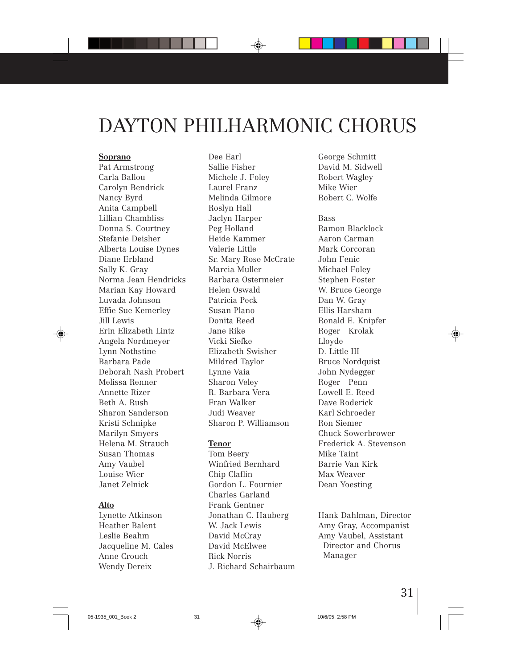# DAYTON PHILHARMONIC CHORUS

#### **Soprano**

Pat Armstrong Carla Ballou Carolyn Bendrick Nancy Byrd Anita Campbell Lillian Chambliss Donna S. Courtney Stefanie Deisher Alberta Louise Dynes Diane Erbland Sally K. Gray Norma Jean Hendricks Marian Kay Howard Luvada Johnson Effie Sue Kemerley Jill Lewis Erin Elizabeth Lintz Angela Nordmeyer Lynn Nothstine Barbara Pade Deborah Nash Probert Melissa Renner Annette Rizer Beth A. Rush Sharon Sanderson Kristi Schnipke Marilyn Smyers Helena M. Strauch Susan Thomas Amy Vaubel Louise Wier Janet Zelnick

#### **Alto**

Lynette Atkinson Heather Balent Leslie Beahm Jacqueline M. Cales Anne Crouch Wendy Dereix

Dee Earl Sallie Fisher Michele J. Foley Laurel Franz Melinda Gilmore Roslyn Hall Jaclyn Harper Peg Holland Heide Kammer Valerie Little Sr. Mary Rose McCrate Marcia Muller Barbara Ostermeier Helen Oswald Patricia Peck Susan Plano Donita Reed Jane Rike Vicki Siefke Elizabeth Swisher Mildred Taylor Lynne Vaia Sharon Veley R. Barbara Vera Fran Walker Judi Weaver Sharon P. Williamson

#### **Tenor**

Tom Beery Winfried Bernhard Chip Claflin Gordon L. Fournier Charles Garland Frank Gentner Jonathan C. Hauberg W. Jack Lewis David McCray David McElwee Rick Norris J. Richard Schairbaum George Schmitt David M. Sidwell Robert Wagley Mike Wier Robert C. Wolfe

Bass Ramon Blacklock Aaron Carman Mark Corcoran John Fenic Michael Foley Stephen Foster W. Bruce George Dan W. Gray Ellis Harsham Ronald E. Knipfer Roger Krolak Lloyde D. Little III Bruce Nordquist John Nydegger Roger Penn Lowell E. Reed Dave Roderick Karl Schroeder Ron Siemer Chuck Sowerbrower Frederick A. Stevenson Mike Taint Barrie Van Kirk Max Weaver Dean Yoesting

Hank Dahlman, Director Amy Gray, Accompanist Amy Vaubel, Assistant Director and Chorus Manager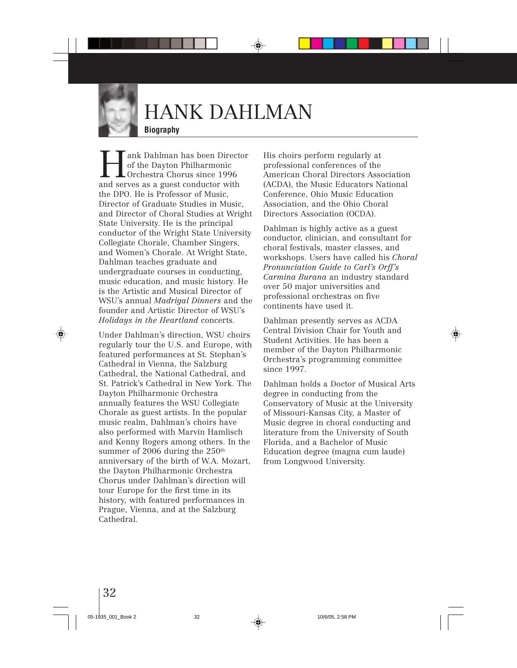

# HANK DAHLMAN

#### **Biography**

ank Dahlman has been Director of the Dayton Philharmonic Orchestra Chorus since 1996 and serves as a guest conductor with the DPO. He is Professor of Music, Director of Graduate Studies in Music, and Director of Choral Studies at Wright State University. He is the principal conductor of the Wright State University Collegiate Chorale, Chamber Singers, and Women's Chorale. At Wright State, Dahlman teaches graduate and undergraduate courses in conducting, music education, and music history. He is the Artistic and Musical Director of WSU's annual *Madrigal Dinners* and the founder and Artistic Director of WSU's *Holidays in the Heartland* concerts.

Under Dahlman's direction, WSU choirs regularly tour the U.S. and Europe, with featured performances at St. Stephan's Cathedral in Vienna, the Salzburg Cathedral, the National Cathedral, and St. Patrick's Cathedral in New York. The Dayton Philharmonic Orchestra annually features the WSU Collegiate Chorale as guest artists. In the popular music realm, Dahlman's choirs have also performed with Marvin Hamlisch and Kenny Rogers among others. In the summer of 2006 during the  $250<sup>th</sup>$ anniversary of the birth of W.A. Mozart, the Dayton Philharmonic Orchestra Chorus under Dahlman's direction will tour Europe for the first time in its history, with featured performances in Prague, Vienna, and at the Salzburg Cathedral.

His choirs perform regularly at professional conferences of the American Choral Directors Association (ACDA), the Music Educators National Conference, Ohio Music Education Association, and the Ohio Choral Directors Association (OCDA).

Dahlman is highly active as a guest conductor, clinician, and consultant for choral festivals, master classes, and workshops. Users have called his *Choral Pronunciation Guide to Carl's Orff's Carmina Burana* an industry standard over 50 major universities and professional orchestras on five continents have used it.

Dahlman presently serves as ACDA Central Division Chair for Youth and Student Activities. He has been a member of the Dayton Philharmonic Orchestra's programming committee since 1997.

Dahlman holds a Doctor of Musical Arts degree in conducting from the Conservatory of Music at the University of Missouri-Kansas City, a Master of Music degree in choral conducting and literature from the University of South Florida, and a Bachelor of Music Education degree (magna cum laude) from Longwood University.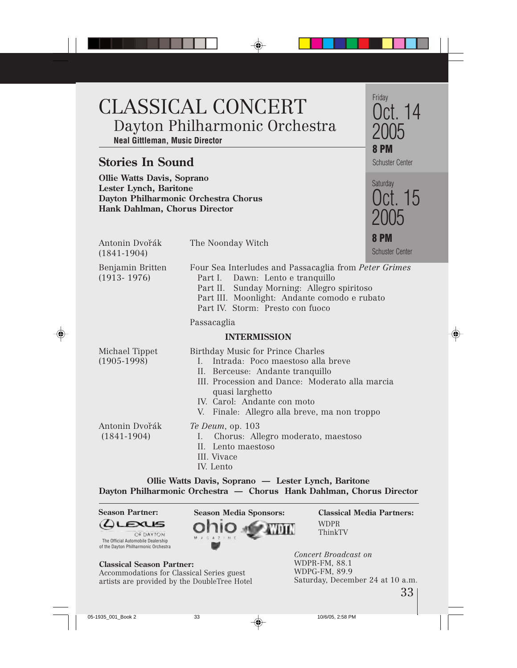### CLASSICAL CONCERT Dayton Philharmonic Orchestra **Neal Gittleman, Music Director**

#### **Stories In Sound**

**Ollie Watts Davis, Soprano Lester Lynch, Baritone Dayton Philharmonic Orchestra Chorus Hank Dahlman, Chorus Director**



| <b>Hank Damman</b> , Choi us Director |                                                                                                                                                                                                                                                                    |                                       |  |
|---------------------------------------|--------------------------------------------------------------------------------------------------------------------------------------------------------------------------------------------------------------------------------------------------------------------|---------------------------------------|--|
| Antonin Dvořák<br>$(1841 - 1904)$     | The Noonday Witch                                                                                                                                                                                                                                                  | <b>8 PM</b><br><b>Schuster Center</b> |  |
| Benjamin Britten<br>$(1913 - 1976)$   | Four Sea Interludes and Passacaglia from Peter Grimes<br>Part I. Dawn: Lento e tranquillo<br>Part II. Sunday Morning: Allegro spiritoso<br>Part III. Moonlight: Andante comodo e rubato<br>Part IV. Storm: Presto con fuoco                                        |                                       |  |
|                                       | Passacaglia                                                                                                                                                                                                                                                        |                                       |  |
| <b>INTERMISSION</b>                   |                                                                                                                                                                                                                                                                    |                                       |  |
| Michael Tippet<br>$(1905-1998)$       | Birthday Music for Prince Charles<br>I. Intrada: Poco maestoso alla breve<br>II. Berceuse: Andante tranquillo<br>III. Procession and Dance: Moderato alla marcia<br>quasi larghetto<br>IV. Carol: Andante con moto<br>V. Finale: Allegro alla breve, ma non troppo |                                       |  |
| Antonin Dvořák<br>$(1841-1904)$       | Te Deum, op. 103<br>Chorus: Allegro moderato, maestoso<br>I.<br>II. Lento maestoso<br>III. Vivace<br>IV. Lento                                                                                                                                                     |                                       |  |

**Ollie Watts Davis, Soprano — Lester Lynch, Baritone Dayton Philharmonic Orchestra — Chorus Hank Dahlman, Chorus Director**

EXUS OF DAYTON The Official Automobile Dealership of the Dayton Philharmonic Orchestra



**Classical Media Partners:** WDPR ThinkTV

#### **Classical Season Partner:**

Accommodations for Classical Series guest artists are provided by the DoubleTree Hotel *Concert Broadcast on* WDPR-FM, 88.1 WDPG-FM, 89.9 Saturday, December 24 at 10 a.m.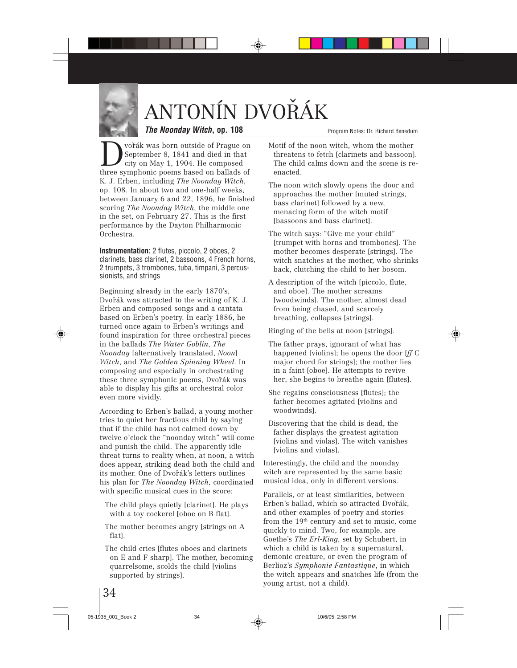# ANTONÍN DVOŘÁK

#### **The Noonday Witch, op. 108**

 $\sum_{\substack{\text{city on May 1, 1904. He composed} \\ \text{three summation of the number of times based on the number of times.}}$ September 8, 1841 and died in that city on May 1, 1904. He composed three symphonic poems based on ballads of K. J. Erben, including *The Noonday Witch*, op. 108. In about two and one-half weeks, between January 6 and 22, 1896, he finished scoring *The Noonday Witch*, the middle one in the set, on February 27. This is the first performance by the Dayton Philharmonic Orchestra.

**Instrumentation:** 2 flutes, piccolo, 2 oboes, 2 clarinets, bass clarinet, 2 bassoons, 4 French horns, 2 trumpets, 3 trombones, tuba, timpani, 3 percussionists, and strings

Beginning already in the early 1870's, Dvořák was attracted to the writing of K. J. Erben and composed songs and a cantata based on Erben's poetry. In early 1886, he turned once again to Erben's writings and found inspiration for three orchestral pieces in the ballads *The Water Goblin*, *The Noonday* [alternatively translated, *Noon*] *Witch*, and *The Golden Spinning Wheel*. In composing and especially in orchestrating these three symphonic poems, Dvořák was able to display his gifts at orchestral color even more vividly.

According to Erben's ballad, a young mother tries to quiet her fractious child by saying that if the child has not calmed down by twelve o'clock the "noonday witch" will come and punish the child. The apparently idle threat turns to reality when, at noon, a witch does appear, striking dead both the child and its mother. One of Dvoˇrák's letters outlines his plan for *The Noonday Witch*, coordinated with specific musical cues in the score:

- The child plays quietly [clarinet]. He plays with a toy cockerel [oboe on B flat].
- The mother becomes angry [strings on A flat].
- The child cries [flutes oboes and clarinets on E and F sharp]. The mother, becoming quarrelsome, scolds the child [violins supported by strings].
- Motif of the noon witch, whom the mother threatens to fetch [clarinets and bassoon]. The child calms down and the scene is reenacted.
- The noon witch slowly opens the door and approaches the mother [muted strings, bass clarinet] followed by a new, menacing form of the witch motif [bassoons and bass clarinet].
- The witch says: "Give me your child" [trumpet with horns and trombones]. The mother becomes desperate [strings]. The witch snatches at the mother, who shrinks back, clutching the child to her bosom.
- A description of the witch [piccolo, flute, and oboe]. The mother screams [woodwinds]. The mother, almost dead from being chased, and scarcely breathing, collapses [strings].

Ringing of the bells at noon [strings].

- The father prays, ignorant of what has happened [violins]; he opens the door [*ff* C major chord for strings]; the mother lies in a faint [oboe]. He attempts to revive her; she begins to breathe again [flutes].
- She regains consciousness [flutes]; the father becomes agitated [violins and woodwinds].
- Discovering that the child is dead, the father displays the greatest agitation [violins and violas]. The witch vanishes [violins and violas].

Interestingly, the child and the noonday witch are represented by the same basic musical idea, only in different versions.

Parallels, or at least similarities, between Erben's ballad, which so attracted Dvořák. and other examples of poetry and stories from the 19th century and set to music, come quickly to mind. Two, for example, are Goethe's *The Erl-King*, set by Schubert, in which a child is taken by a supernatural, demonic creature, or even the program of Berlioz's *Symphonie Fantastique*, in which the witch appears and snatches life (from the young artist, not a child).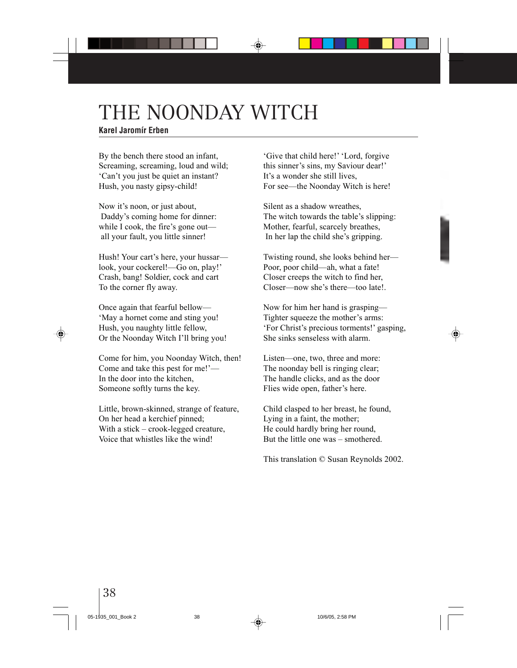# THE NOONDAY WITCH

#### **Karel Jaromír Erben**

By the bench there stood an infant, Screaming, screaming, loud and wild; 'Can't you just be quiet an instant? Hush, you nasty gipsy-child!

Now it's noon, or just about, Daddy's coming home for dinner: while I cook, the fire's gone out all your fault, you little sinner!

Hush! Your cart's here, your hussar look, your cockerel!—Go on, play!' Crash, bang! Soldier, cock and cart To the corner fly away.

Once again that fearful bellow— 'May a hornet come and sting you! Hush, you naughty little fellow, Or the Noonday Witch I'll bring you!

Come for him, you Noonday Witch, then! Come and take this pest for me!'— In the door into the kitchen, Someone softly turns the key.

Little, brown-skinned, strange of feature, On her head a kerchief pinned; With a stick – crook-legged creature, Voice that whistles like the wind!

'Give that child here!' 'Lord, forgive this sinner's sins, my Saviour dear!' It's a wonder she still lives, For see—the Noonday Witch is here!

Silent as a shadow wreathes, The witch towards the table's slipping: Mother, fearful, scarcely breathes, In her lap the child she's gripping.

Twisting round, she looks behind her— Poor, poor child—ah, what a fate! Closer creeps the witch to find her, Closer—now she's there—too late!.

Now for him her hand is grasping— Tighter squeeze the mother's arms: 'For Christ's precious torments!' gasping, She sinks senseless with alarm.

Listen—one, two, three and more: The noonday bell is ringing clear; The handle clicks, and as the door Flies wide open, father's here.

Child clasped to her breast, he found, Lying in a faint, the mother; He could hardly bring her round, But the little one was – smothered.

This translation © Susan Reynolds 2002.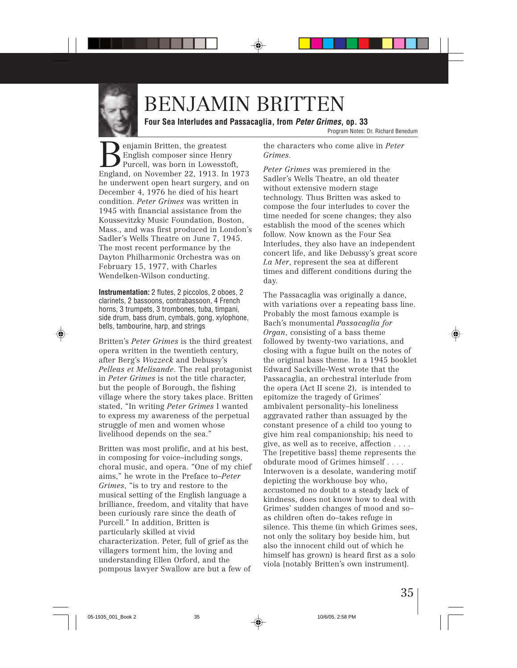

### BENJAMIN BRITTEN

**Four Sea Interludes and Passacaglia, from Peter Grimes, op. 33**

Program Notes: Dr. Richard Benedum

enjamin Britten, the greatest English composer since Henry Purcell, was born in Lowesstoft, England, on November 22, 1913. In 1973 he underwent open heart surgery, and on December 4, 1976 he died of his heart condition. *Peter Grimes* was written in 1945 with financial assistance from the Koussevitzky Music Foundation, Boston, Mass., and was first produced in London's Sadler's Wells Theatre on June 7, 1945. The most recent performance by the Dayton Philharmonic Orchestra was on February 15, 1977, with Charles Wendelken-Wilson conducting.

**Instrumentation:** 2 flutes, 2 piccolos, 2 oboes, 2 clarinets, 2 bassoons, contrabassoon, 4 French horns, 3 trumpets, 3 trombones, tuba, timpani, side drum, bass drum, cymbals, gong, xylophone, bells, tambourine, harp, and strings

Britten's *Peter Grimes* is the third greatest opera written in the twentieth century, after Berg's *Wozzeck* and Debussy's *Pelleas et Melisande*. The real protagonist in *Peter Grimes* is not the title character, but the people of Borough, the fishing village where the story takes place. Britten stated, "In writing *Peter Grimes* I wanted to express my awareness of the perpetual struggle of men and women whose livelihood depends on the sea."

Britten was most prolific, and at his best, in composing for voice–including songs, choral music, and opera. "One of my chief aims," he wrote in the Preface to–*Peter Grimes*, "is to try and restore to the musical setting of the English language a brilliance, freedom, and vitality that have been curiously rare since the death of Purcell." In addition, Britten is particularly skilled at vivid characterization. Peter, full of grief as the villagers torment him, the loving and understanding Ellen Orford, and the pompous lawyer Swallow are but a few of

the characters who come alive in *Peter Grimes*.

*Peter Grimes* was premiered in the Sadler's Wells Theatre, an old theater without extensive modern stage technology. Thus Britten was asked to compose the four interludes to cover the time needed for scene changes; they also establish the mood of the scenes which follow. Now known as the Four Sea Interludes, they also have an independent concert life, and like Debussy's great score *La Mer*, represent the sea at different times and different conditions during the day.

The Passacaglia was originally a dance, with variations over a repeating bass line. Probably the most famous example is Bach's monumental *Passacaglia for Organ*, consisting of a bass theme followed by twenty-two variations, and closing with a fugue built on the notes of the original bass theme. In a 1945 booklet Edward Sackville-West wrote that the Passacaglia, an orchestral interlude from the opera (Act II scene 2), is intended to epitomize the tragedy of Grimes' ambivalent personality–his loneliness aggravated rather than assuaged by the constant presence of a child too young to give him real companionship; his need to give, as well as to receive, affection . . . . The [repetitive bass] theme represents the obdurate mood of Grimes himself . . . . Interwoven is a desolate, wandering motif depicting the workhouse boy who, accustomed no doubt to a steady lack of kindness, does not know how to deal with Grimes' sudden changes of mood and so– as children often do–takes refuge in silence. This theme (in which Grimes sees, not only the solitary boy beside him, but also the innocent child out of which he himself has grown) is heard first as a solo viola [notably Britten's own instrument].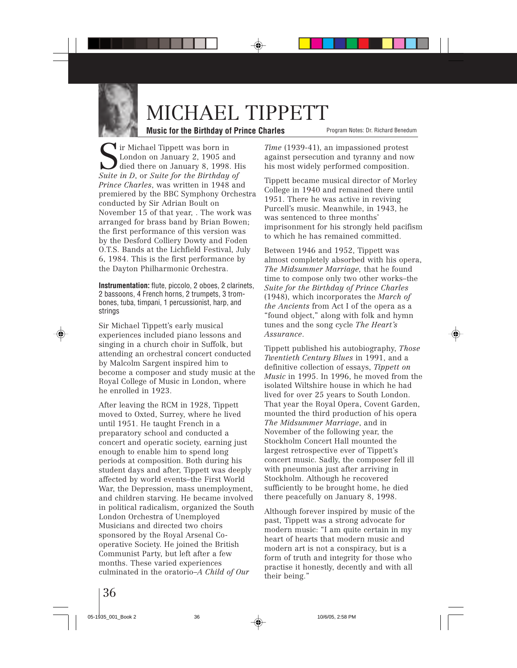

### MICHAEL TIPPETT

#### **Music for the Birthday of Prince Charles**

Sir Michael Tippett was born in London on January 2, 1905 and died there on January 8, 1998. His *Suite in D*, or *Suite for the Birthday of Prince Charles*, was written in 1948 and premiered by the BBC Symphony Orchestra conducted by Sir Adrian Boult on November 15 of that year, . The work was arranged for brass band by Brian Bowen; the first performance of this version was by the Desford Colliery Dowty and Foden O.T.S. Bands at the Lichfield Festival, July 6, 1984. This is the first performance by the Dayton Philharmonic Orchestra.

**Instrumentation:** flute, piccolo, 2 oboes, 2 clarinets, 2 bassoons, 4 French horns, 2 trumpets, 3 trombones, tuba, timpani, 1 percussionist, harp, and strings

Sir Michael Tippett's early musical experiences included piano lessons and singing in a church choir in Suffolk, but attending an orchestral concert conducted by Malcolm Sargent inspired him to become a composer and study music at the Royal College of Music in London, where he enrolled in 1923.

After leaving the RCM in 1928, Tippett moved to Oxted, Surrey, where he lived until 1951. He taught French in a preparatory school and conducted a concert and operatic society, earning just enough to enable him to spend long periods at composition. Both during his student days and after, Tippett was deeply affected by world events–the First World War, the Depression, mass unemployment, and children starving. He became involved in political radicalism, organized the South London Orchestra of Unemployed Musicians and directed two choirs sponsored by the Royal Arsenal Cooperative Society. He joined the British Communist Party, but left after a few months. These varied experiences culminated in the oratorio–*A Child of Our*

Program Notes: Dr. Richard Benedum

*Time* (1939-41), an impassioned protest against persecution and tyranny and now his most widely performed composition.

Tippett became musical director of Morley College in 1940 and remained there until 1951. There he was active in reviving Purcell's music. Meanwhile, in 1943, he was sentenced to three months' imprisonment for his strongly held pacifism to which he has remained committed.

Between 1946 and 1952, Tippett was almost completely absorbed with his opera, *The Midsummer Marriage,* that he found time to compose only two other works–the *Suite for the Birthday of Prince Charles* (1948), which incorporates the *March of the Ancients* from Act I of the opera as a "found object," along with folk and hymn tunes and the song cycle *The Heart's Assurance*.

Tippett published his autobiography, *Those Twentieth Century Blues* in 1991, and a definitive collection of essays, *Tippett on Music* in 1995. In 1996, he moved from the isolated Wiltshire house in which he had lived for over 25 years to South London. That year the Royal Opera, Covent Garden, mounted the third production of his opera *The Midsummer Marriage*, and in November of the following year, the Stockholm Concert Hall mounted the largest retrospective ever of Tippett's concert music. Sadly, the composer fell ill with pneumonia just after arriving in Stockholm. Although he recovered sufficiently to be brought home, he died there peacefully on January 8, 1998.

Although forever inspired by music of the past, Tippett was a strong advocate for modern music: "I am quite certain in my heart of hearts that modern music and modern art is not a conspiracy, but is a form of truth and integrity for those who practise it honestly, decently and with all their being."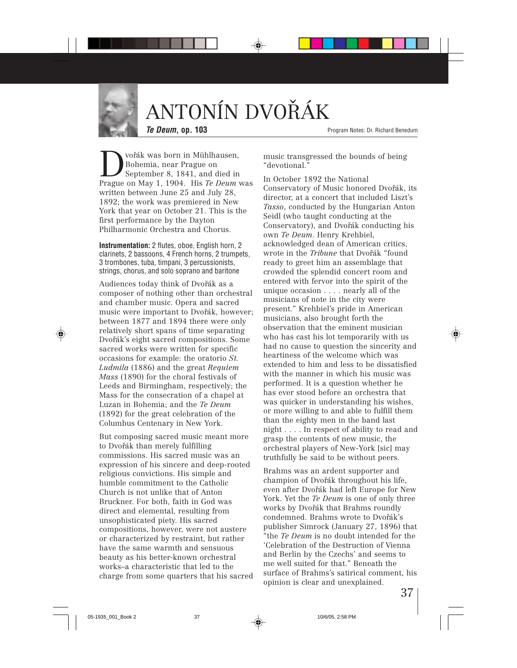

# ANTONÍN DVOŘÁK

**Te Deum, op. 103**

Program Notes: Dr. Richard Benedum

Dvořák was born in Mühlhausen,<br>Bohemia, near Prague on<br>Prague on May 1, 1904 His *Te Deum* Bohemia, near Prague on Prague on May 1, 1904. His *Te Deum* was written between June 25 and July 28, 1892; the work was premiered in New York that year on October 21. This is the first performance by the Dayton Philharmonic Orchestra and Chorus.

**Instrumentation:** 2 flutes, oboe, English horn, 2 clarinets, 2 bassoons, 4 French horns, 2 trumpets, 3 trombones, tuba, timpani, 3 percussionists, strings, chorus, and solo soprano and baritone

Audiences today think of Dvořák as a composer of nothing other than orchestral and chamber music. Opera and sacred music were important to Dvořák, however; between 1877 and 1894 there were only relatively short spans of time separating Dvořák's eight sacred compositions. Some sacred works were written for specific occasions for example: the oratorio *St. Ludmila* (1886) and the great *Requiem Mass* (1890) for the choral festivals of Leeds and Birmingham, respectively; the Mass for the consecration of a chapel at Luzan in Bohemia; and the *Te Deum* (1892) for the great celebration of the Columbus Centenary in New York.

But composing sacred music meant more to Dvořák than merely fulfilling commissions. His sacred music was an expression of his sincere and deep-rooted religious convictions. His simple and humble commitment to the Catholic Church is not unlike that of Anton Bruckner. For both, faith in God was direct and elemental, resulting from unsophisticated piety. His sacred compositions, however, were not austere or characterized by restraint, but rather have the same warmth and sensuous beauty as his better-known orchestral works–a characteristic that led to the charge from some quarters that his sacred music transgressed the bounds of being "devotional."

In October 1892 the National Conservatory of Music honored Dvořák, its director, at a concert that included Liszt's *Tasso*, conducted by the Hungarian Anton Seidl (who taught conducting at the Conservatory), and Dvořák conducting his own *Te Deum*. Henry Krehbiel, acknowledged dean of American critics, wrote in the *Tribune* that Dvořák "found ready to greet him an assemblage that crowded the splendid concert room and entered with fervor into the spirit of the unique occasion . . . . nearly all of the musicians of note in the city were present." Krehbiel's pride in American musicians, also brought forth the observation that the eminent musician who has cast his lot temporarily with us had no cause to question the sincerity and heartiness of the welcome which was extended to him and less to be dissatisfied with the manner in which his music was performed. It is a question whether he has ever stood before an orchestra that was quicker in understanding his wishes, or more willing to and able to fulfill them than the eighty men in the band last night . . . . In respect of ability to read and grasp the contents of new music, the orchestral players of New-York [sic] may truthfully be said to be without peers.

Brahms was an ardent supporter and champion of Dvořák throughout his life, even after Dvořák had left Europe for New York. Yet the *Te Deum* is one of only three works by Dvořák that Brahms roundly condemned. Brahms wrote to Dvořák's publisher Simrock (January 27, 1896) that "the *Te Deum* is no doubt intended for the 'Celebration of the Destruction of Vienna and Berlin by the Czechs' and seems to me well suited for that." Beneath the surface of Brahms's satirical comment, his opinion is clear and unexplained.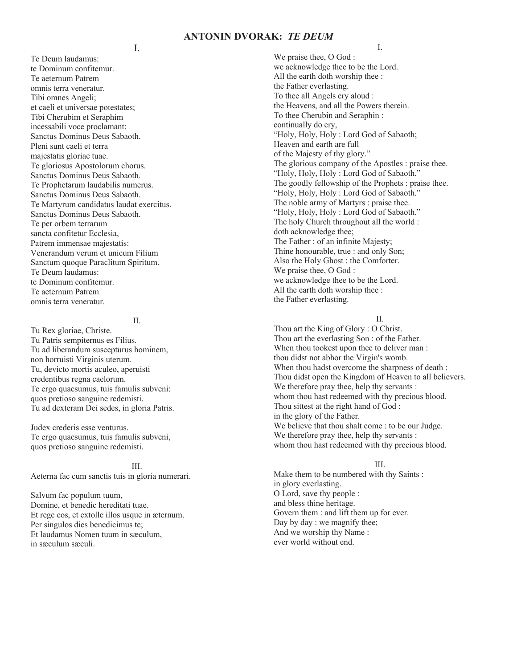#### **ANTONIN DVORAK:** *TE DEUM*

I.

Te Deum laudamus: te Dominum confitemur. Te aeternum Patrem omnis terra veneratur. Tibi omnes Angeli; et caeli et universae potestates; Tibi Cherubim et Seraphim incessabili voce proclamant: Sanctus Dominus Deus Sabaoth. Pleni sunt caeli et terra majestatis gloriae tuae. Te gloriosus Apostolorum chorus. Sanctus Dominus Deus Sabaoth. Te Prophetarum laudabilis numerus. Sanctus Dominus Deus Sabaoth. Te Martyrum candidatus laudat exercitus. Sanctus Dominus Deus Sabaoth. Te per orbem terrarum sancta confitetur Ecclesia, Patrem immensae majestatis: Venerandum verum et unicum Filium Sanctum quoque Paraclitum Spiritum. Te Deum laudamus: te Dominum confitemur. Te aeternum Patrem omnis terra veneratur.

#### II.

Tu Rex gloriae, Christe. Tu Patris sempiternus es Filius. Tu ad liberandum suscepturus hominem, non horruisti Virginis uterum. Tu, devicto mortis aculeo, aperuisti credentibus regna caelorum. Te ergo quaesumus, tuis famulis subveni: quos pretioso sanguine redemisti. Tu ad dexteram Dei sedes, in gloria Patris.

Judex crederis esse venturus. Te ergo quaesumus, tuis famulis subveni, quos pretioso sanguine redemisti.

III. Aeterna fac cum sanctis tuis in gloria numerari.

Salvum fac populum tuum, Domine, et benedic hereditati tuae. Et rege eos, et extolle illos usque in æternum. Per singulos dies benedicimus te; Et laudamus Nomen tuum in sæculum, in sæculum sæculi.

I.

We praise thee, O God : we acknowledge thee to be the Lord. All the earth doth worship thee : the Father everlasting. To thee all Angels cry aloud : the Heavens, and all the Powers therein. To thee Cherubin and Seraphin : continually do cry, "Holy, Holy, Holy : Lord God of Sabaoth; Heaven and earth are full of the Majesty of thy glory." The glorious company of the Apostles : praise thee. "Holy, Holy, Holy : Lord God of Sabaoth." The goodly fellowship of the Prophets : praise thee. "Holy, Holy, Holy : Lord God of Sabaoth." The noble army of Martyrs : praise thee. "Holy, Holy, Holy : Lord God of Sabaoth." The holy Church throughout all the world : doth acknowledge thee; The Father : of an infinite Majesty; Thine honourable, true : and only Son; Also the Holy Ghost : the Comforter. We praise thee, O God : we acknowledge thee to be the Lord. All the earth doth worship thee : the Father everlasting.

#### $\mathbf{I}$

Thou art the King of Glory : O Christ. Thou art the everlasting Son : of the Father. When thou tookest upon thee to deliver man : thou didst not abhor the Virgin's womb. When thou hadst overcome the sharpness of death : Thou didst open the Kingdom of Heaven to all believers. We therefore pray thee, help thy servants : whom thou hast redeemed with thy precious blood. Thou sittest at the right hand of God : in the glory of the Father. We believe that thou shalt come : to be our Judge. We therefore pray thee, help thy servants : whom thou hast redeemed with thy precious blood.

#### III.

Make them to be numbered with thy Saints : in glory everlasting. O Lord, save thy people : and bless thine heritage. Govern them : and lift them up for ever. Day by day : we magnify thee; And we worship thy Name : ever world without end.